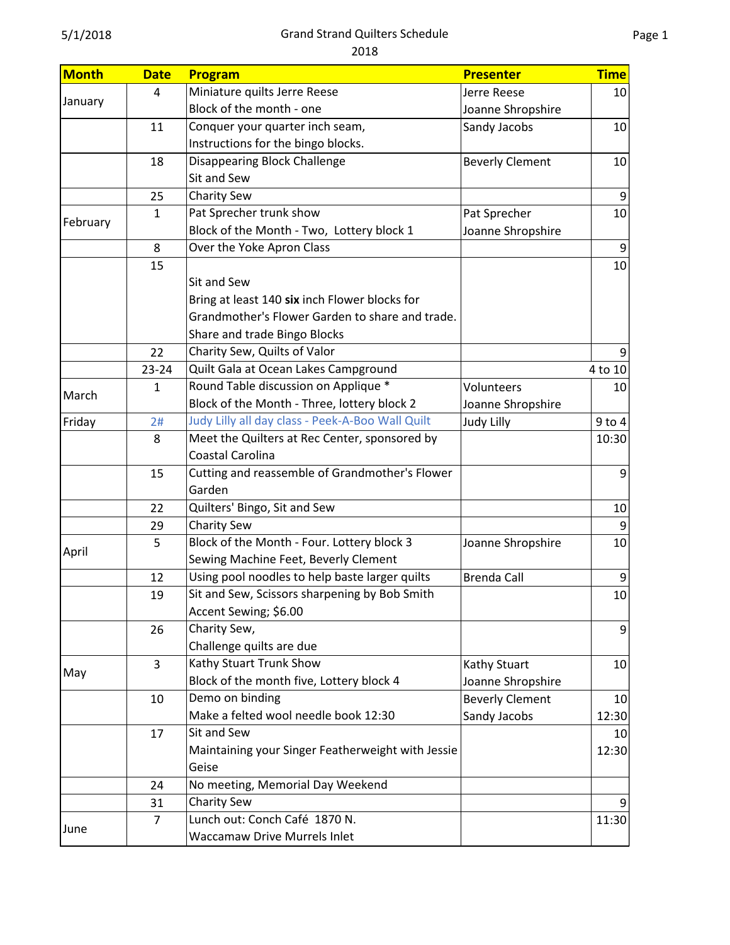| <b>Month</b> | <b>Date</b>    | Program                                           | <b>Presenter</b>       | <b>Time</b>     |
|--------------|----------------|---------------------------------------------------|------------------------|-----------------|
| January      | 4              | Miniature quilts Jerre Reese                      | Jerre Reese            | 10              |
|              |                | Block of the month - one                          | Joanne Shropshire      |                 |
|              | 11             | Conquer your quarter inch seam,                   | Sandy Jacobs           | 10              |
|              |                | Instructions for the bingo blocks.                |                        |                 |
|              | 18             | <b>Disappearing Block Challenge</b>               | <b>Beverly Clement</b> | 10              |
|              |                | Sit and Sew                                       |                        |                 |
|              | 25             | Charity Sew                                       |                        | $\overline{9}$  |
|              | $\mathbf{1}$   | Pat Sprecher trunk show                           | Pat Sprecher           | 10 <sup>1</sup> |
| February     |                | Block of the Month - Two, Lottery block 1         | Joanne Shropshire      |                 |
|              | 8              | Over the Yoke Apron Class                         |                        | 9               |
|              | 15             |                                                   |                        | 10              |
|              |                | Sit and Sew                                       |                        |                 |
|              |                | Bring at least 140 six inch Flower blocks for     |                        |                 |
|              |                | Grandmother's Flower Garden to share and trade.   |                        |                 |
|              |                | Share and trade Bingo Blocks                      |                        |                 |
|              | 22             | Charity Sew, Quilts of Valor                      |                        | 9               |
|              | $23 - 24$      | Quilt Gala at Ocean Lakes Campground              |                        | 4 to 10         |
|              | $\mathbf{1}$   | Round Table discussion on Applique *              | Volunteers             | 10              |
| March        |                | Block of the Month - Three, lottery block 2       | Joanne Shropshire      |                 |
| Friday       | 2#             | Judy Lilly all day class - Peek-A-Boo Wall Quilt  | <b>Judy Lilly</b>      | $9$ to $4$      |
|              | 8              | Meet the Quilters at Rec Center, sponsored by     |                        | 10:30           |
|              |                | Coastal Carolina                                  |                        |                 |
|              | 15             | Cutting and reassemble of Grandmother's Flower    |                        | 9               |
|              |                | Garden                                            |                        |                 |
|              | 22             | Quilters' Bingo, Sit and Sew                      |                        | 10              |
|              | 29             | Charity Sew                                       |                        | 9               |
|              | 5              | Block of the Month - Four. Lottery block 3        | Joanne Shropshire      | 10              |
| April        |                | Sewing Machine Feet, Beverly Clement              |                        |                 |
|              | 12             | Using pool noodles to help baste larger quilts    | <b>Brenda Call</b>     | 9               |
|              | 19             | Sit and Sew, Scissors sharpening by Bob Smith     |                        | 10              |
|              |                | Accent Sewing; \$6.00                             |                        |                 |
|              | 26             | Charity Sew,                                      |                        | $\overline{9}$  |
|              |                | Challenge quilts are due                          |                        |                 |
|              | 3              | Kathy Stuart Trunk Show                           | Kathy Stuart           | 10              |
| May          |                | Block of the month five, Lottery block 4          | Joanne Shropshire      |                 |
|              | 10             | Demo on binding                                   | <b>Beverly Clement</b> | 10              |
|              |                | Make a felted wool needle book 12:30              | Sandy Jacobs           | 12:30           |
|              | 17             | Sit and Sew                                       |                        | 10              |
|              |                | Maintaining your Singer Featherweight with Jessie |                        | 12:30           |
|              |                | Geise                                             |                        |                 |
|              | 24             | No meeting, Memorial Day Weekend                  |                        |                 |
|              | 31             | <b>Charity Sew</b>                                |                        |                 |
|              | $\overline{7}$ | Lunch out: Conch Café 1870 N.                     |                        | 11:30           |
|              |                |                                                   |                        |                 |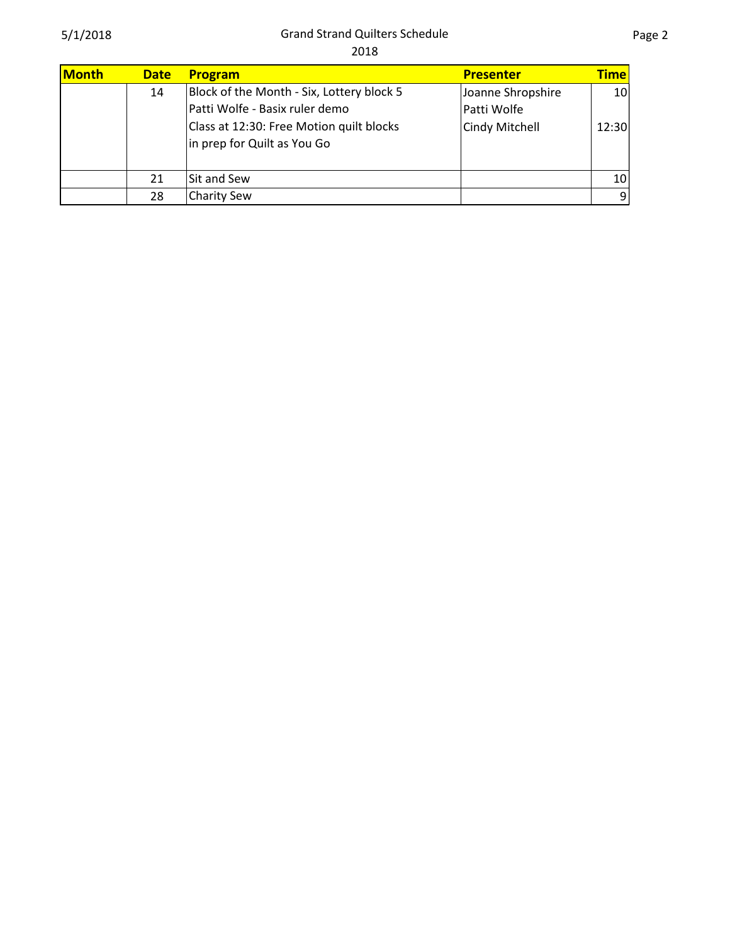| Month | <b>Date</b> | Program                                                                                                                                                | <b>Presenter</b>                                   | <b>Time</b>              |
|-------|-------------|--------------------------------------------------------------------------------------------------------------------------------------------------------|----------------------------------------------------|--------------------------|
|       | 14          | Block of the Month - Six, Lottery block 5<br>Patti Wolfe - Basix ruler demo<br>Class at 12:30: Free Motion quilt blocks<br>in prep for Quilt as You Go | Joanne Shropshire<br>Patti Wolfe<br>Cindy Mitchell | 10 <sub>l</sub><br>12:30 |
|       | 21          | Sit and Sew                                                                                                                                            |                                                    | 10 <sup>1</sup>          |
|       | 28          | <b>Charity Sew</b>                                                                                                                                     |                                                    | $\overline{9}$           |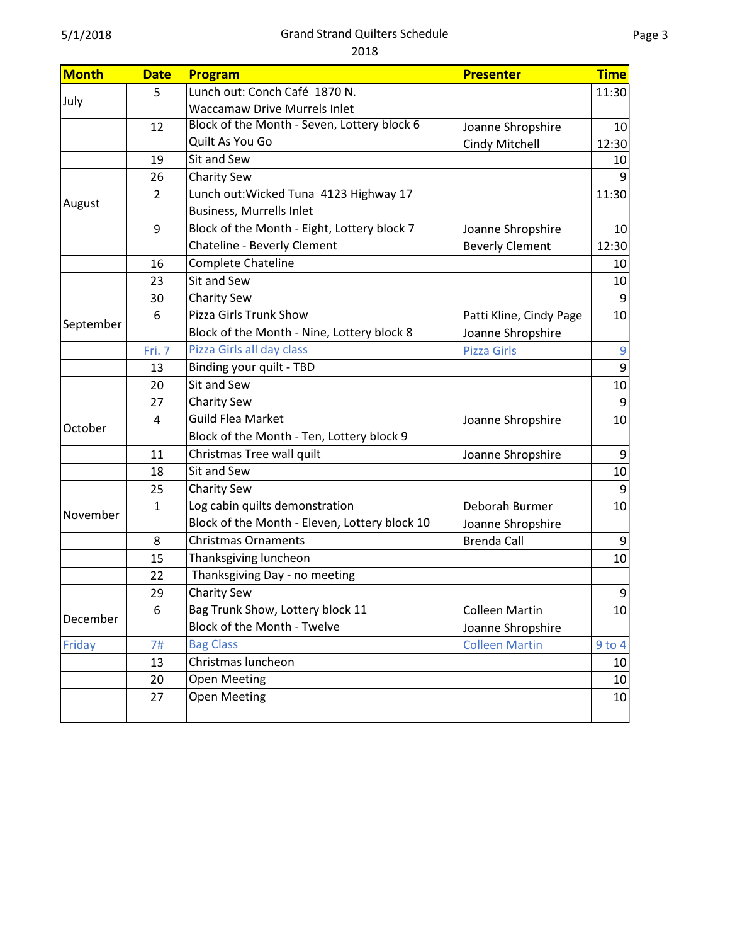| <b>Month</b> | <b>Date</b>    | Program                                       | <b>Presenter</b>        | <b>Time</b>     |
|--------------|----------------|-----------------------------------------------|-------------------------|-----------------|
| July         | 5              | Lunch out: Conch Café 1870 N.                 |                         | 11:30           |
|              |                | <b>Waccamaw Drive Murrels Inlet</b>           |                         |                 |
|              | 12             | Block of the Month - Seven, Lottery block 6   | Joanne Shropshire       | 10              |
|              |                | Quilt As You Go                               | Cindy Mitchell          | 12:30           |
|              | 19             | Sit and Sew                                   |                         | 10              |
|              | 26             | <b>Charity Sew</b>                            |                         |                 |
|              | $\overline{2}$ | Lunch out: Wicked Tuna 4123 Highway 17        |                         | 11:30           |
| August       |                | <b>Business, Murrells Inlet</b>               |                         |                 |
|              | 9              | Block of the Month - Eight, Lottery block 7   | Joanne Shropshire       | 10 <sub>l</sub> |
|              |                | Chateline - Beverly Clement                   | <b>Beverly Clement</b>  | 12:30           |
|              | 16             | Complete Chateline                            |                         | 10              |
|              | 23             | Sit and Sew                                   |                         | 10              |
|              | 30             | <b>Charity Sew</b>                            |                         | $\overline{9}$  |
|              | 6              | Pizza Girls Trunk Show                        | Patti Kline, Cindy Page | 10              |
| September    |                | Block of the Month - Nine, Lottery block 8    | Joanne Shropshire       |                 |
|              | Fri. 7         | Pizza Girls all day class                     | <b>Pizza Girls</b>      | 9               |
|              | 13             | Binding your quilt - TBD                      |                         | 9               |
|              | 20             | Sit and Sew                                   |                         | 10              |
|              | 27             | <b>Charity Sew</b>                            |                         | 9               |
|              | 4              | <b>Guild Flea Market</b>                      | Joanne Shropshire       | 10              |
| October      |                | Block of the Month - Ten, Lottery block 9     |                         |                 |
|              | 11             | Christmas Tree wall quilt                     | Joanne Shropshire       | 9               |
|              | 18             | Sit and Sew                                   |                         | 10              |
|              | 25             | <b>Charity Sew</b>                            |                         | 9               |
|              | 1              | Log cabin quilts demonstration                | Deborah Burmer          | 10              |
| November     |                | Block of the Month - Eleven, Lottery block 10 | Joanne Shropshire       |                 |
|              | 8              | <b>Christmas Ornaments</b>                    | <b>Brenda Call</b>      | $\overline{9}$  |
|              | 15             | Thanksgiving luncheon                         |                         | 10              |
|              | 22             | Thanksgiving Day - no meeting                 |                         |                 |
|              | 29             | <b>Charity Sew</b>                            |                         | $\overline{9}$  |
| December     | 6              | Bag Trunk Show, Lottery block 11              | <b>Colleen Martin</b>   | 10              |
|              |                | Block of the Month - Twelve                   | Joanne Shropshire       |                 |
| Friday       | 7#             | <b>Bag Class</b>                              | <b>Colleen Martin</b>   | $9$ to $4$      |
|              | 13             | Christmas luncheon                            |                         | 10              |
|              | 20             | <b>Open Meeting</b>                           |                         | 10              |
|              | 27             | <b>Open Meeting</b>                           |                         | 10              |
|              |                |                                               |                         |                 |